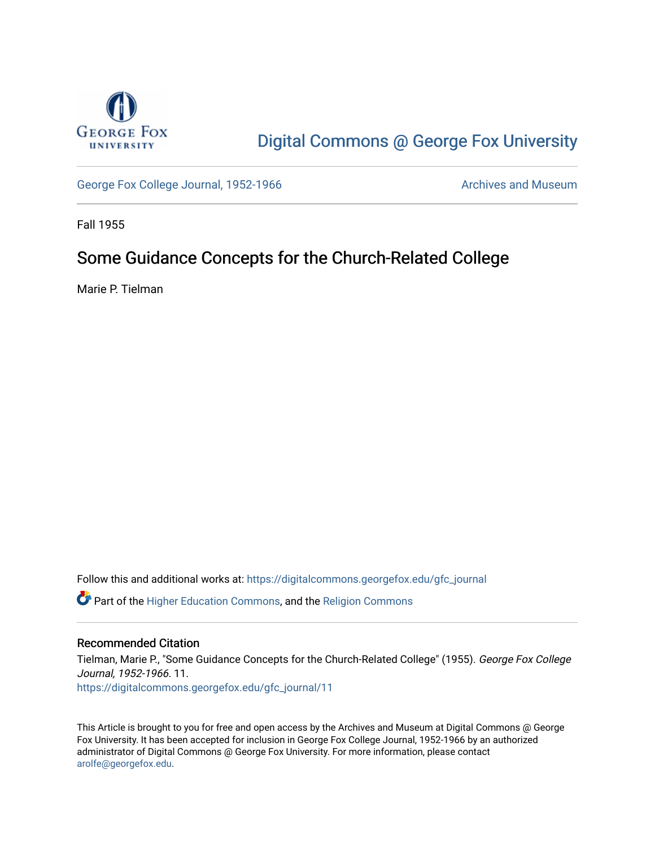

# [Digital Commons @ George Fox University](https://digitalcommons.georgefox.edu/)

[George Fox College Journal, 1952-1966](https://digitalcommons.georgefox.edu/gfc_journal) Archives and Museum

Fall 1955

## Some Guidance Concepts for the Church-Related College

Marie P. Tielman

Follow this and additional works at: [https://digitalcommons.georgefox.edu/gfc\\_journal](https://digitalcommons.georgefox.edu/gfc_journal?utm_source=digitalcommons.georgefox.edu%2Fgfc_journal%2F11&utm_medium=PDF&utm_campaign=PDFCoverPages)

Part of the [Higher Education Commons,](http://network.bepress.com/hgg/discipline/1245?utm_source=digitalcommons.georgefox.edu%2Fgfc_journal%2F11&utm_medium=PDF&utm_campaign=PDFCoverPages) and the [Religion Commons](http://network.bepress.com/hgg/discipline/538?utm_source=digitalcommons.georgefox.edu%2Fgfc_journal%2F11&utm_medium=PDF&utm_campaign=PDFCoverPages)

### Recommended Citation

Tielman, Marie P., "Some Guidance Concepts for the Church-Related College" (1955). George Fox College Journal, 1952-1966. 11. [https://digitalcommons.georgefox.edu/gfc\\_journal/11](https://digitalcommons.georgefox.edu/gfc_journal/11?utm_source=digitalcommons.georgefox.edu%2Fgfc_journal%2F11&utm_medium=PDF&utm_campaign=PDFCoverPages) 

This Article is brought to you for free and open access by the Archives and Museum at Digital Commons @ George Fox University. It has been accepted for inclusion in George Fox College Journal, 1952-1966 by an authorized administrator of Digital Commons @ George Fox University. For more information, please contact [arolfe@georgefox.edu.](mailto:arolfe@georgefox.edu)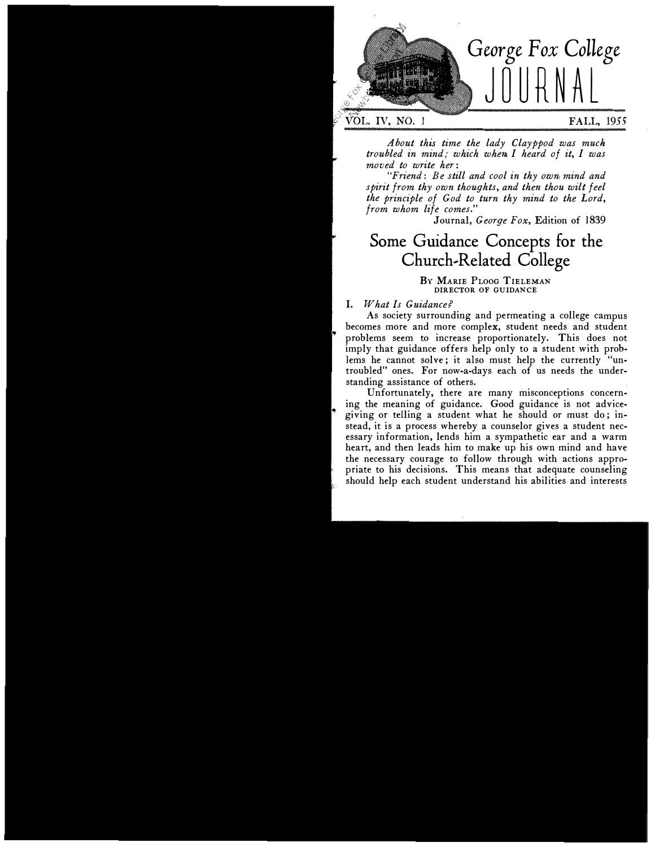

About this time the lady Clayppod was muck troubled in mind; which when I heard of it, I was moved to write her:

"Friend: Be still and cool in thy own, mind and spirit from thy own thoughts, and then thou wilt feel the principle of God to turn thy mind to the Lord, from whom life comes."

Journal, George Fox, Edition of 1839

## Some Guidance Concepts for the Church-Related College

BY MARIE PLOOG TIELEMAN DIRECTOR OF GUIDANCE

#### I. What Is Guidance?

As society surrounding and permeating a college campus becomes more and more complex, student needs and student problems seem to increase proportionately. This does not imply that guidance offers help only to a student with problems he cannot solve; it also must help the currently "untroubled" ones. For now-a-days each of us needs the understanding assistance of others.

Unfortunately, there are many misconceptions concerning the meaning of guidance. Good guidance is not advicegiving or telling a student what he should or must do; instead, it is a process whereby a counselor gives a student necessary information, lends him a sympathetic ear and a warm heart, and then leads him to make up his own mind and have the necessary courage to follow through with actions appropriate to his decisions. This means that adequate counseling should help each student understand his abilities and interests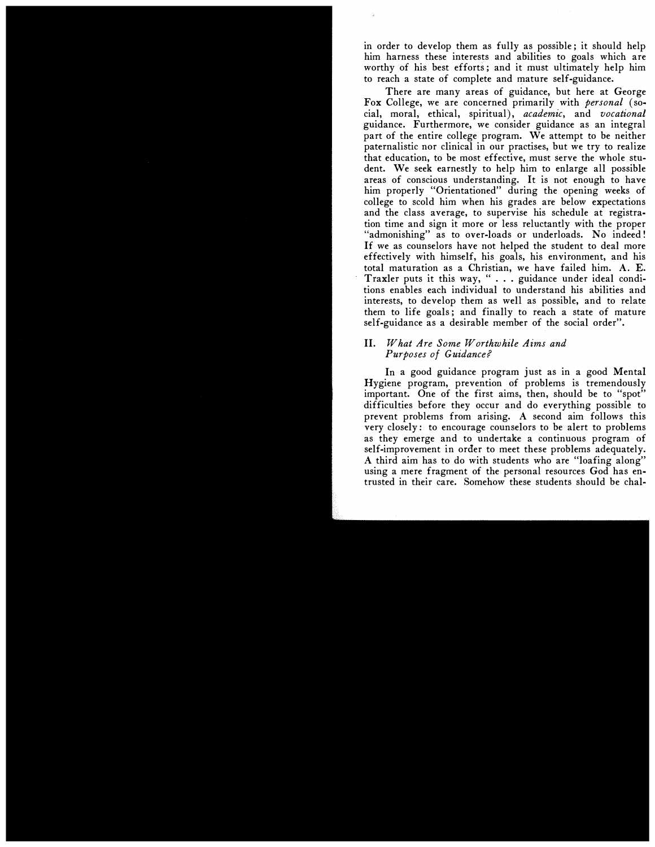in order to develop them as fully as possible; it should help him harness these interests and abilities to goals which are worthy of his best efforts; and it must ultimately help him to reach a state of complete and mature self-guidance.

There are many areas of guidance, but here at George Fox College, we are concerned primarily with *personal* (social, moral, ethical, spiritual), academic, and vocational guidance. Furthermore, we consider guidance as an integral part of the entire college program. We attempt to be neither paternalistic nor clinical in our practises, but we try to realize that education, to be most effective, must serve the whole student. We seek earnestly to help him to enlarge all possible areas of conscious understanding. It is not enough to have him properly "Orientationed" during the opening weeks of college to scold him when his grades are below expectations and the class average, to supervise his schedule at registration time and sign it more or less reluctantly with the proper "admonishing" as to over-loads or underloads. No indeed! If we as counselors have not helped the student to deal more effectively with himself, his goals, his environment, and his total maturation as a Christian, we have failed him. A. E. Traxler puts it this way, " ... guidance under ideal conditions enables each individual to understand his abilities and interests, to develop them as well as possible, and to relate them to life goals; and finally to reach a state of mature self-guidance as a desirable member of the social order".

#### II. What Are Some Worthwhile Aims and Purposes of Guidance?

In a good guidance program just as in a good Mental Hygiene program, prevention of problems is tremendously important. One of the first aims, then, should be to "spot" difficulties before they occur and do everything possible to prevent problems from arising. A second aim follows this very closely: to encourage counselors to be alert to problems as they emerge and to undertake a continuous program of self-improvement in order to meet these problems adequately. A third aim has to do with students who are "loafing along" using a mere fragment of the personal resources God has entrusted in their care. Somehow these students should be chal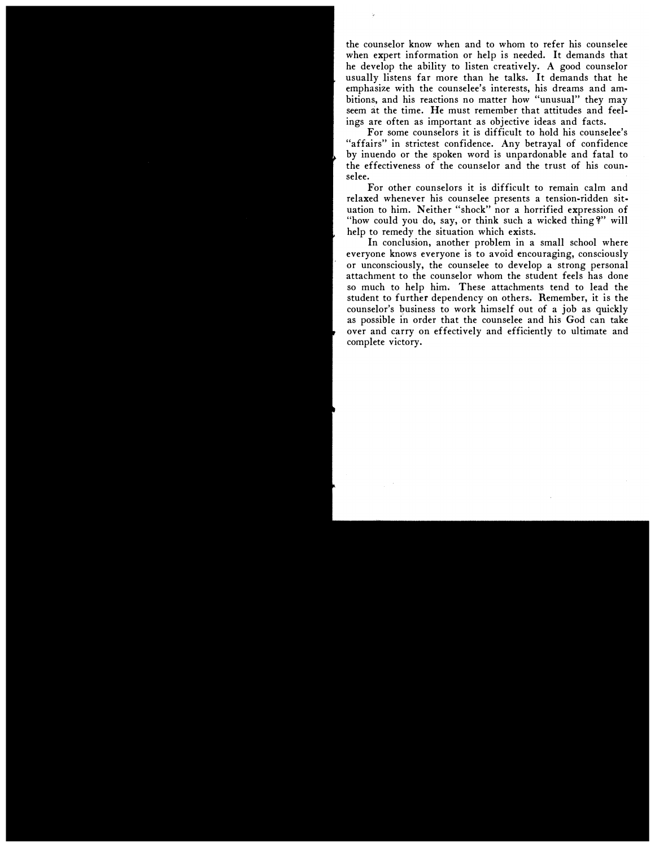the counselor know when and to whom to refer his counselee when expert information or help is needed. It demands that he develop the ability to listen creatively. A good counselor usually listens far more than he talks. It demands that he emphasize with the counselee's interests, his dreams and ambitions, and his reactions no matter how "unusual" they may seem at the time. He must remember that attitudes and feelings are often as important as objective ideas and facts.

For some counselors it is difficult to hold his counselee's "affairs" in strictest confidence. Any betrayal of confidence by inuendo or the spoken word is unpardonable and fatal to the effectiveness of the counselor and the trust of his counselee.

For other counselors it is difficult to remain calm and relaxed whenever his counselee presents a tension-ridden situation to him. Neither "shock" nor a horrified expression of "how could you do, say, or think such a wicked thing?" will help to remedy the situation which exists.

In conclusion, another problem in a small school where everyone knows everyone is to avoid encouraging, consciously or unconsciously, the counselee to develop a strong personal attachment to the counselor whom the student feels has done so much to help him. These attachments tend to lead the student to further dependency on others. Remember, it is the counselor's business to work himself out of a job as quickly as possible in order that the counselee and his God can take over and carry on effectively and efficiently to ultimate and complete victory.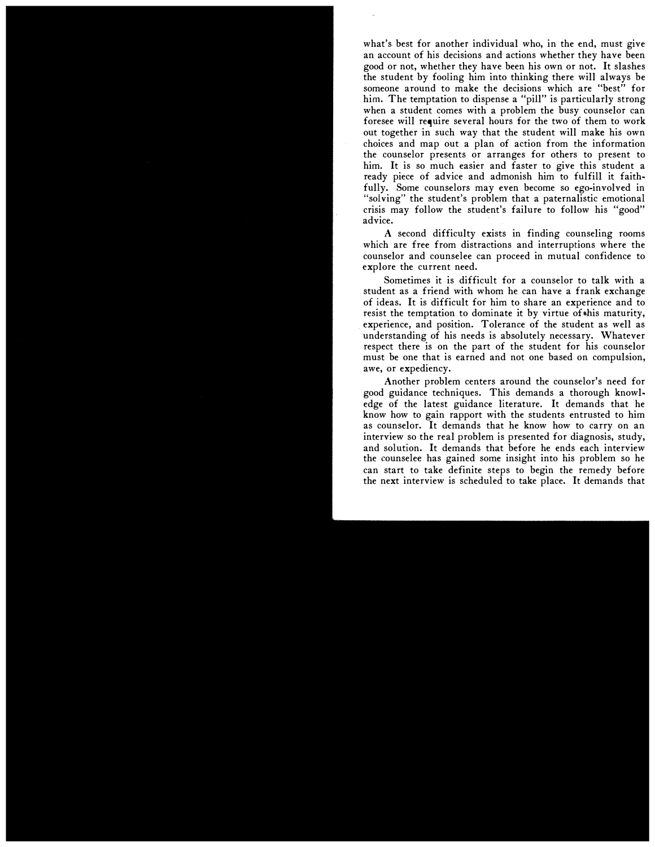what's best for another individual who, in the end, must give an account of his decisions and actions whether they have been good or not, whether they have been his own or not. It slashes the student by fooling him into thinking there will always be someone around to make the decisions which are "best" for him. The temptation to dispense a "pill" is particularly strong when a student comes with a problem the busy counselor can foresee will require several hours for the two of them to work out together in such way that the student will make his own choices and map out a plan of action from the information the counselor presents or arranges for others to present to him. It is so much easier and faster to give this student a ready piece of advice and admonish him to fulfill it faithfully. Some counselors may even become so ego-involved in "solving" the student's problem that a paternalistic emotional crisis may follow the student's failure to follow his "good" advice.

A second difficulty exists in finding counseling rooms which are free from distractions and interruptions where the counselor and counselee can proceed in mutual confidence to explore the current need.

Sometimes it is difficult for a counselor to talk with a student as a friend with whom he can have a frank exchange of ideas. It is difficult for him to share an experience and to resist the temptation to dominate it by virtue of this maturity, experience, and position. Tolerance of the student as well as understanding of his needs is absolutely necessary. Whatever respect there is on the part of the student for his counselor must be one that is earned and not one based on compulsion, awe, or expediency.

Another problem centers around the counselor's need for good guidance techniques. This demands a thorough knowledge of the latest guidance literature. It demands that he know how to gain rapport with the students entrusted to him as counselor. It demands that he know how to carry on an interview so the real problem is presented for diagnosis, study, and solution. It demands that before he ends each interview the counselee has gained some insight into his problem so he can start to take definite steps to begin the remedy before the next interview is scheduled to take place. It demands that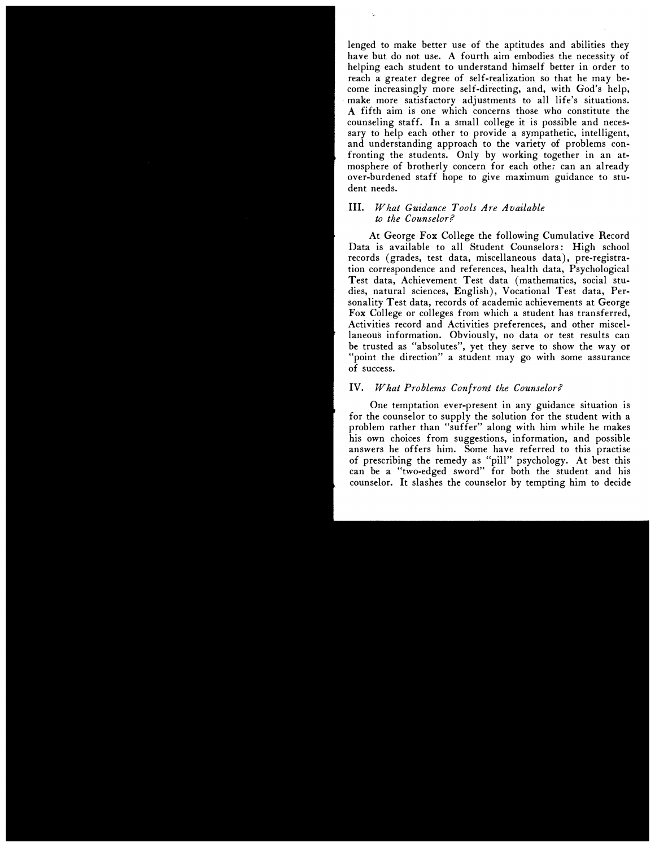lenged to make better use of the aptitudes and abilities they have but do not use. A fourth aim embodies the necessity of helping each student to understand himself better in order to reach a greater degree of self-realization so that he may become increasingly more self-directing, and, with God's help, make more satisfactory adjustments to all life's situations. A fifth aim is one which concerns those who constitute the counseling staff. In a small college it is possible and necessary to help each other to provide a sympathetic, intelligent, and understanding approach to the variety of problems confronting the students. Only by working together in an atmosphere of brotherly concern for each other can an already over-burdened staff hope to give maximum guidance to student needs.

#### III. What Guidance Tools Are Available to the Counselor?

At George Fox College the following Cumulative Record Data is available to all Student Counselors: High school records (grades, test data, miscellaneous data), pre-registration correspondence and references, health data, Psychological Test data, Achievement Test data (mathematics, social studies, natural sciences, English), Vocational Test data, Personality Test data, records of academic achievements at George Fox College or colleges from which a student has transferred, Activities record and Activities preferences, and other miscellaneous information. Obviously, no data or test results can be trusted as "absolutes", yet they serve to show the way or "point the direction" a student may go with some assurance of success.

#### IV. What Problems Confromt the Counselor?

One temptation ever-present in any guidance situation is for the counselor to supply the solution for the student with a problem rather than "suffer" along with him while he makes his own choices from suggestions, information, and possible answers he offers him. Some have referred to this practise of prescribing the remedy as "pill" psychology. At best this can be a "two-edged sword" for both the student and his counselor. It slashes the counselor by tempting him to decide